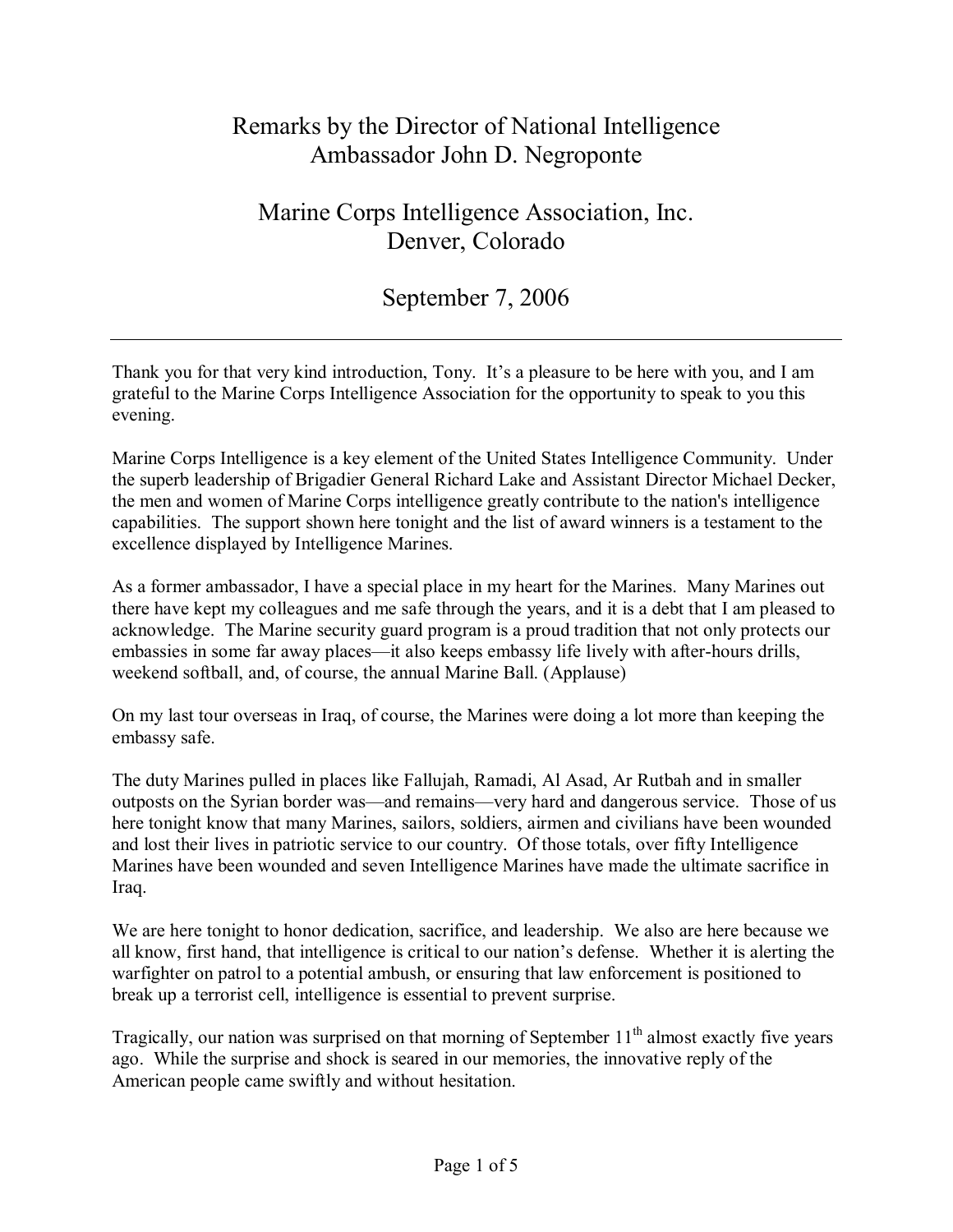## Remarks by the Director of National Intelligence Ambassador John D. Negroponte

## Marine Corps Intelligence Association, Inc. Denver, Colorado

## September 7, 2006

Thank you for that very kind introduction, Tony. It's a pleasure to be here with you, and I am grateful to the Marine Corps Intelligence Association for the opportunity to speak to you this evening.

Marine Corps Intelligence is a key element of the United States Intelligence Community. Under the superb leadership of Brigadier General Richard Lake and Assistant Director Michael Decker, the men and women of Marine Corps intelligence greatly contribute to the nation's intelligence capabilities. The support shown here tonight and the list of award winners is a testament to the excellence displayed by Intelligence Marines.

As a former ambassador, I have a special place in my heart for the Marines. Many Marines out there have kept my colleagues and me safe through the years, and it is a debt that I am pleased to acknowledge. The Marine security guard program is a proud tradition that not only protects our embassies in some far away places—it also keeps embassy life lively with after-hours drills, weekend softball, and, of course, the annual Marine Ball. (Applause)

On my last tour overseas in Iraq, of course, the Marines were doing a lot more than keeping the embassy safe.

The duty Marines pulled in places like Fallujah, Ramadi, Al Asad, Ar Rutbah and in smaller outposts on the Syrian border was—and remains—very hard and dangerous service. Those of us here tonight know that many Marines, sailors, soldiers, airmen and civilians have been wounded and lost their lives in patriotic service to our country. Of those totals, over fifty Intelligence Marines have been wounded and seven Intelligence Marines have made the ultimate sacrifice in Iraq.

We are here tonight to honor dedication, sacrifice, and leadership. We also are here because we all know, first hand, that intelligence is critical to our nation's defense. Whether it is alerting the warfighter on patrol to a potential ambush, or ensuring that law enforcement is positioned to break up a terrorist cell, intelligence is essential to prevent surprise.

Tragically, our nation was surprised on that morning of September 11<sup>th</sup> almost exactly five years ago. While the surprise and shock is seared in our memories, the innovative reply of the American people came swiftly and without hesitation.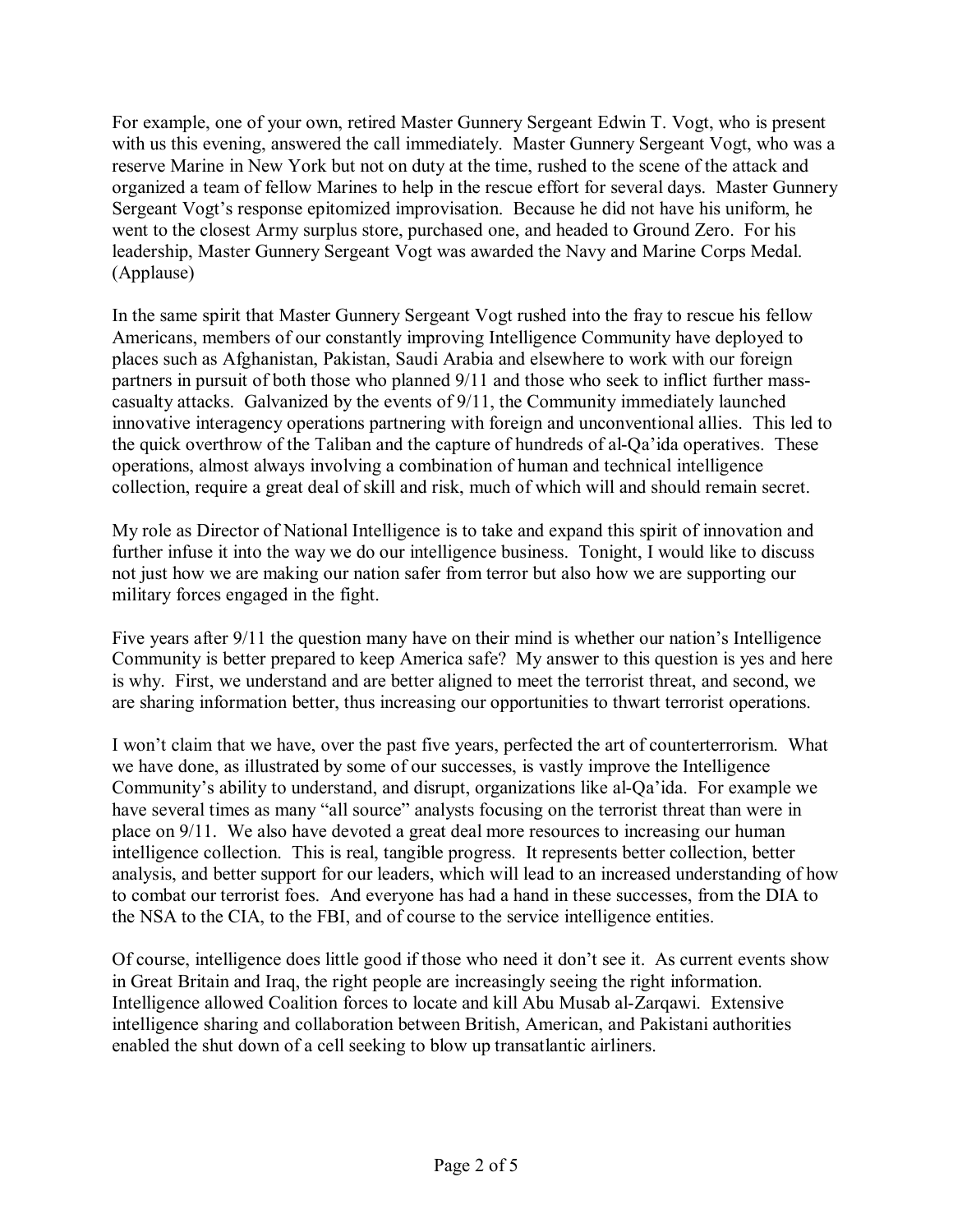For example, one of your own, retired Master Gunnery Sergeant Edwin T. Vogt, who is present with us this evening, answered the call immediately. Master Gunnery Sergeant Vogt, who was a reserve Marine in New York but not on duty at the time, rushed to the scene of the attack and organized a team of fellow Marines to help in the rescue effort for several days. Master Gunnery Sergeant Vogt's response epitomized improvisation. Because he did not have his uniform, he went to the closest Army surplus store, purchased one, and headed to Ground Zero. For his leadership, Master Gunnery Sergeant Vogt was awarded the Navy and Marine Corps Medal. (Applause)

In the same spirit that Master Gunnery Sergeant Vogt rushed into the fray to rescue his fellow Americans, members of our constantly improving Intelligence Community have deployed to places such as Afghanistan, Pakistan, Saudi Arabia and elsewhere to work with our foreign partners in pursuit of both those who planned 9/11 and those who seek to inflict further masscasualty attacks. Galvanized by the events of 9/11, the Community immediately launched innovative interagency operations partnering with foreign and unconventional allies. This led to the quick overthrow of the Taliban and the capture of hundreds of al-Qa'ida operatives. These operations, almost always involving a combination of human and technical intelligence collection, require a great deal of skill and risk, much of which will and should remain secret.

My role as Director of National Intelligence is to take and expand this spirit of innovation and further infuse it into the way we do our intelligence business. Tonight, I would like to discuss not just how we are making our nation safer from terror but also how we are supporting our military forces engaged in the fight.

Five years after 9/11 the question many have on their mind is whether our nation's Intelligence Community is better prepared to keep America safe? My answer to this question is yes and here is why. First, we understand and are better aligned to meet the terrorist threat, and second, we are sharing information better, thus increasing our opportunities to thwart terrorist operations.

I won't claim that we have, over the past five years, perfected the art of counterterrorism. What we have done, as illustrated by some of our successes, is vastly improve the Intelligence Community's ability to understand, and disrupt, organizations like al-Qa'ida. For example we have several times as many "all source" analysts focusing on the terrorist threat than were in place on 9/11. We also have devoted a great deal more resources to increasing our human intelligence collection. This is real, tangible progress. It represents better collection, better analysis, and better support for our leaders, which will lead to an increased understanding of how to combat our terrorist foes. And everyone has had a hand in these successes, from the DIA to the NSA to the CIA, to the FBI, and of course to the service intelligence entities.

Of course, intelligence does little good if those who need it don't see it. As current events show in Great Britain and Iraq, the right people are increasingly seeing the right information. Intelligence allowed Coalition forces to locate and kill Abu Musab al-Zarqawi. Extensive intelligence sharing and collaboration between British, American, and Pakistani authorities enabled the shut down of a cell seeking to blow up transatlantic airliners.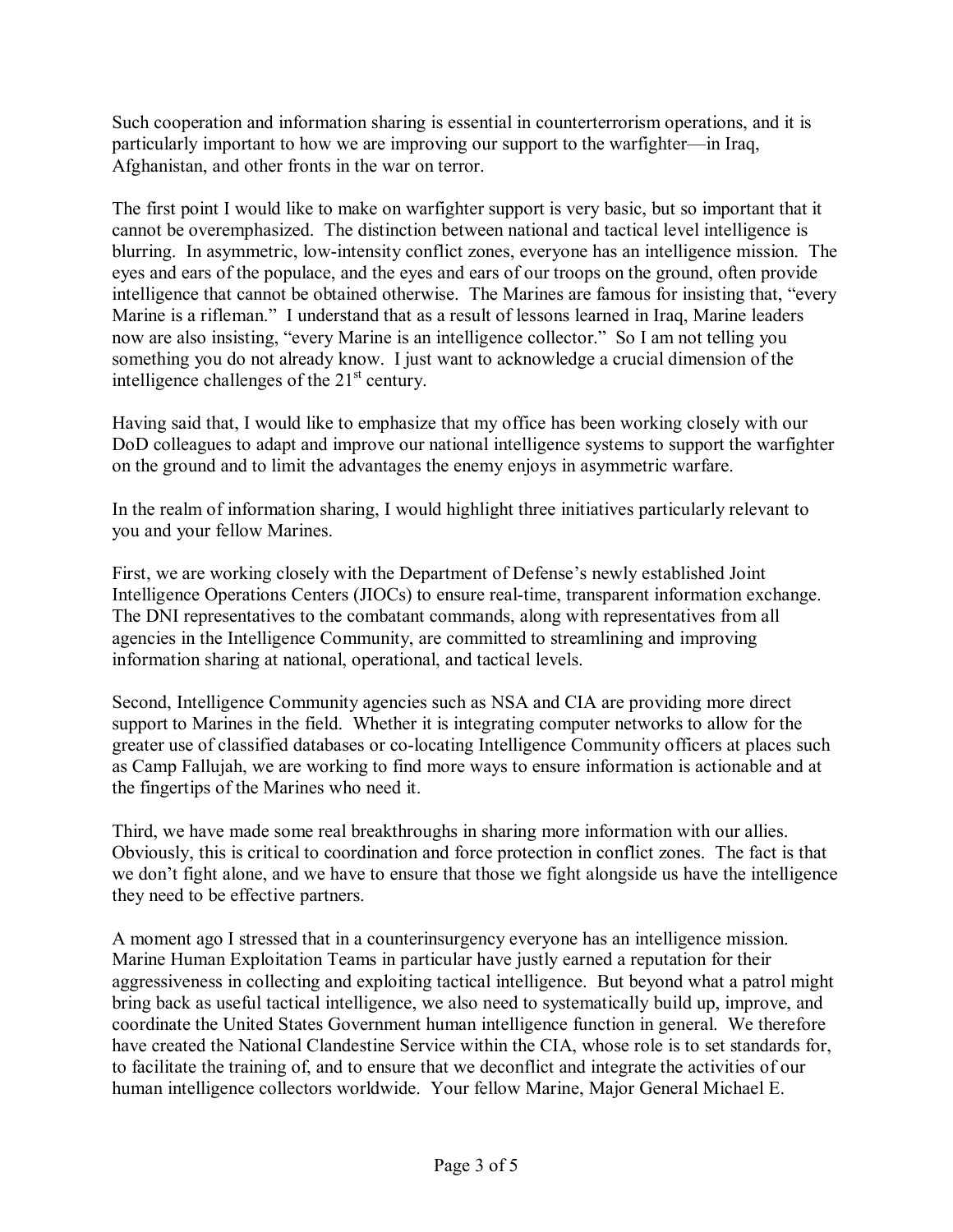Such cooperation and information sharing is essential in counterterrorism operations, and it is particularly important to how we are improving our support to the warfighter—in Iraq, Afghanistan, and other fronts in the war on terror.

The first point I would like to make on warfighter support is very basic, but so important that it cannot be overemphasized. The distinction between national and tactical level intelligence is blurring. In asymmetric, low-intensity conflict zones, everyone has an intelligence mission. The eyes and ears of the populace, and the eyes and ears of our troops on the ground, often provide intelligence that cannot be obtained otherwise. The Marines are famous for insisting that, "every Marine is a rifleman." I understand that as a result of lessons learned in Iraq, Marine leaders now are also insisting, "every Marine is an intelligence collector." So I am not telling you something you do not already know. I just want to acknowledge a crucial dimension of the intelligence challenges of the  $21<sup>st</sup>$  century.

Having said that, I would like to emphasize that my office has been working closely with our DoD colleagues to adapt and improve our national intelligence systems to support the warfighter on the ground and to limit the advantages the enemy enjoys in asymmetric warfare.

In the realm of information sharing, I would highlight three initiatives particularly relevant to you and your fellow Marines.

First, we are working closely with the Department of Defense's newly established Joint Intelligence Operations Centers (JIOCs) to ensure real-time, transparent information exchange. The DNI representatives to the combatant commands, along with representatives from all agencies in the Intelligence Community, are committed to streamlining and improving information sharing at national, operational, and tactical levels.

Second, Intelligence Community agencies such as NSA and CIA are providing more direct support to Marines in the field. Whether it is integrating computer networks to allow for the greater use of classified databases or co-locating Intelligence Community officers at places such as Camp Fallujah, we are working to find more ways to ensure information is actionable and at the fingertips of the Marines who need it.

Third, we have made some real breakthroughs in sharing more information with our allies. Obviously, this is critical to coordination and force protection in conflict zones. The fact is that we don't fight alone, and we have to ensure that those we fight alongside us have the intelligence they need to be effective partners.

A moment ago I stressed that in a counterinsurgency everyone has an intelligence mission. Marine Human Exploitation Teams in particular have justly earned a reputation for their aggressiveness in collecting and exploiting tactical intelligence. But beyond what a patrol might bring back as useful tactical intelligence, we also need to systematically build up, improve, and coordinate the United States Government human intelligence function in general. We therefore have created the National Clandestine Service within the CIA, whose role is to set standards for, to facilitate the training of, and to ensure that we deconflict and integrate the activities of our human intelligence collectors worldwide. Your fellow Marine, Major General Michael E.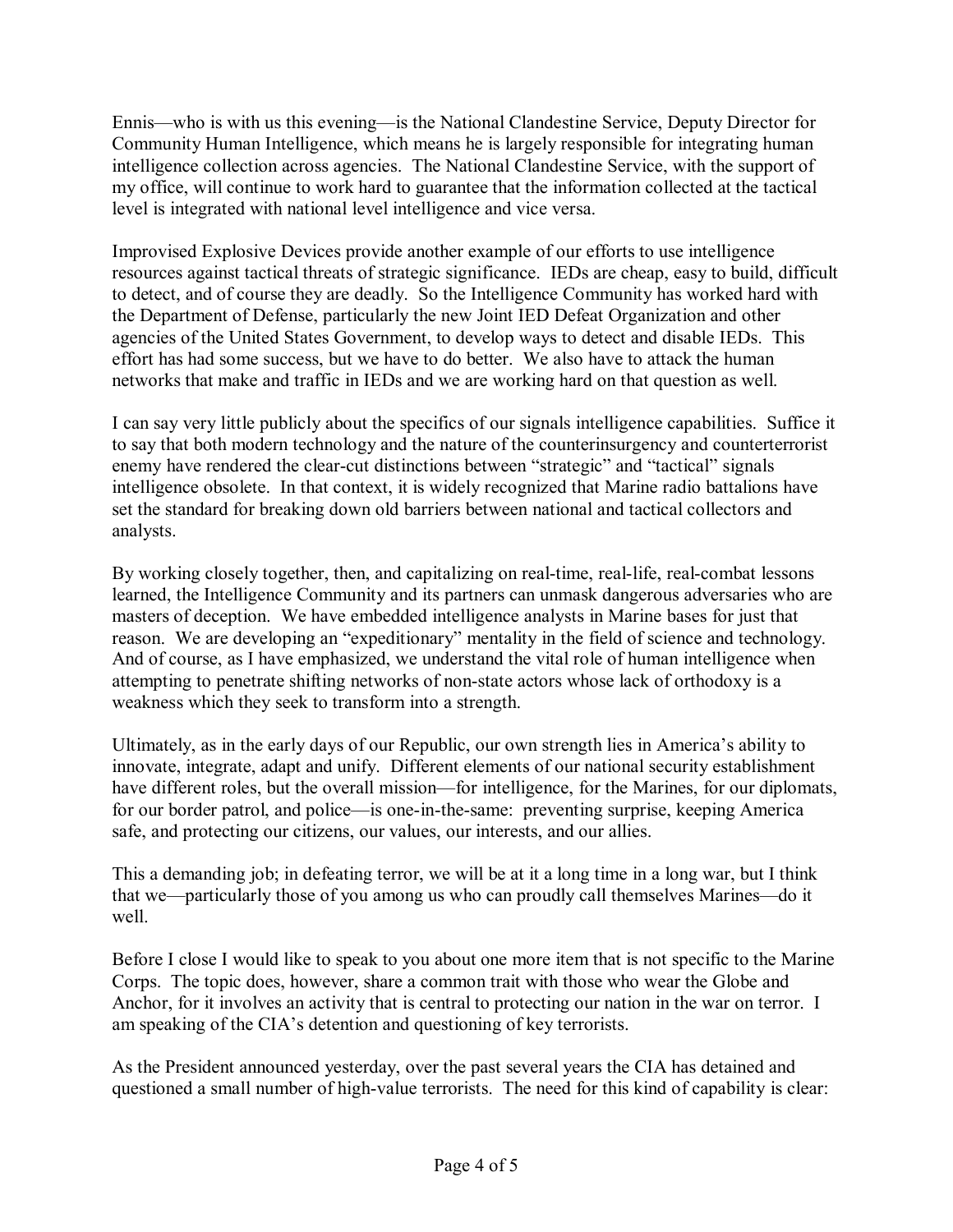Ennis—who is with us this evening—is the National Clandestine Service, Deputy Director for Community Human Intelligence, which means he is largely responsible for integrating human intelligence collection across agencies. The National Clandestine Service, with the support of my office, will continue to work hard to guarantee that the information collected at the tactical level is integrated with national level intelligence and vice versa.

Improvised Explosive Devices provide another example of our efforts to use intelligence resources against tactical threats of strategic significance. IEDs are cheap, easy to build, difficult to detect, and of course they are deadly. So the Intelligence Community has worked hard with the Department of Defense, particularly the new Joint IED Defeat Organization and other agencies of the United States Government, to develop ways to detect and disable IEDs. This effort has had some success, but we have to do better. We also have to attack the human networks that make and traffic in IEDs and we are working hard on that question as well.

I can say very little publicly about the specifics of our signals intelligence capabilities. Suffice it to say that both modern technology and the nature of the counterinsurgency and counterterrorist enemy have rendered the clear-cut distinctions between "strategic" and "tactical" signals intelligence obsolete. In that context, it is widely recognized that Marine radio battalions have set the standard for breaking down old barriers between national and tactical collectors and analysts.

By working closely together, then, and capitalizing on real-time, real-life, real-combat lessons learned, the Intelligence Community and its partners can unmask dangerous adversaries who are masters of deception. We have embedded intelligence analysts in Marine bases for just that reason. We are developing an "expeditionary" mentality in the field of science and technology. And of course, as I have emphasized, we understand the vital role of human intelligence when attempting to penetrate shifting networks of non-state actors whose lack of orthodoxy is a weakness which they seek to transform into a strength.

Ultimately, as in the early days of our Republic, our own strength lies in America's ability to innovate, integrate, adapt and unify. Different elements of our national security establishment have different roles, but the overall mission—for intelligence, for the Marines, for our diplomats, for our border patrol, and police—is one-in-the-same: preventing surprise, keeping America safe, and protecting our citizens, our values, our interests, and our allies.

This a demanding job; in defeating terror, we will be at it a long time in a long war, but I think that we—particularly those of you among us who can proudly call themselves Marines—do it well

Before I close I would like to speak to you about one more item that is not specific to the Marine Corps. The topic does, however, share a common trait with those who wear the Globe and Anchor, for it involves an activity that is central to protecting our nation in the war on terror. I am speaking of the CIA's detention and questioning of key terrorists.

As the President announced yesterday, over the past several years the CIA has detained and questioned a small number of high-value terrorists. The need for this kind of capability is clear: